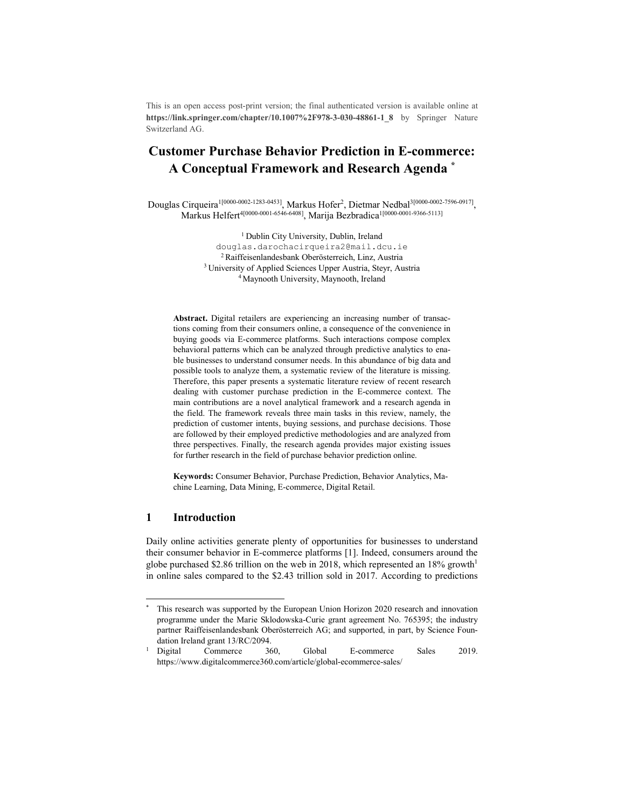# **Customer Purchase Behavior Prediction in E-commerce: A Conceptual Framework and Research Agenda \***

Douglas Cirqueira<sup>1[0000-0002-1283-0453]</sup>, Markus Hofer<sup>2</sup>, Dietmar Nedbal<sup>3[0000-0002-7596-0917],</sup> Markus Helfert4[0000-0001-6546-6408] , Marija Bezbradica1[0000-0001-9366-5113]

> <sup>1</sup> Dublin City University, Dublin, Ireland douglas.darochacirqueira2@mail.dcu.ie 2 Raiffeisenlandesbank Oberösterreich, Linz, Austria <sup>3</sup> University of Applied Sciences Upper Austria, Steyr, Austria <sup>4</sup> Maynooth University, Maynooth, Ireland

**Abstract.** Digital retailers are experiencing an increasing number of transactions coming from their consumers online, a consequence of the convenience in buying goods via E-commerce platforms. Such interactions compose complex behavioral patterns which can be analyzed through predictive analytics to enable businesses to understand consumer needs. In this abundance of big data and possible tools to analyze them, a systematic review of the literature is missing. Therefore, this paper presents a systematic literature review of recent research dealing with customer purchase prediction in the E-commerce context. The main contributions are a novel analytical framework and a research agenda in the field. The framework reveals three main tasks in this review, namely, the prediction of customer intents, buying sessions, and purchase decisions. Those are followed by their employed predictive methodologies and are analyzed from three perspectives. Finally, the research agenda provides major existing issues for further research in the field of purchase behavior prediction online.

**Keywords:** Consumer Behavior, Purchase Prediction, Behavior Analytics, Machine Learning, Data Mining, E-commerce, Digital Retail.

# **1 Introduction**

Daily online activities generate plenty of opportunities for businesses to understand their consumer behavior in E-commerce platforms [1]. Indeed, consumers around the globe purchased \$2.86 trillion on the web in 2018, which represented an  $18\%$  growth<sup>1</sup> in online sales compared to the \$2.43 trillion sold in 2017. According to predictions

This research was supported by the European Union Horizon 2020 research and innovation programme under the Marie Sklodowska-Curie grant agreement No. 765395; the industry partner Raiffeisenlandesbank Oberösterreich AG; and supported, in part, by Science Foundation Ireland grant 13/RC/2094.

<sup>&</sup>lt;sup>1</sup> Digital Commerce 360, Global E-commerce Sales 2019. https://www.digitalcommerce360.com/article/global-ecommerce-sales/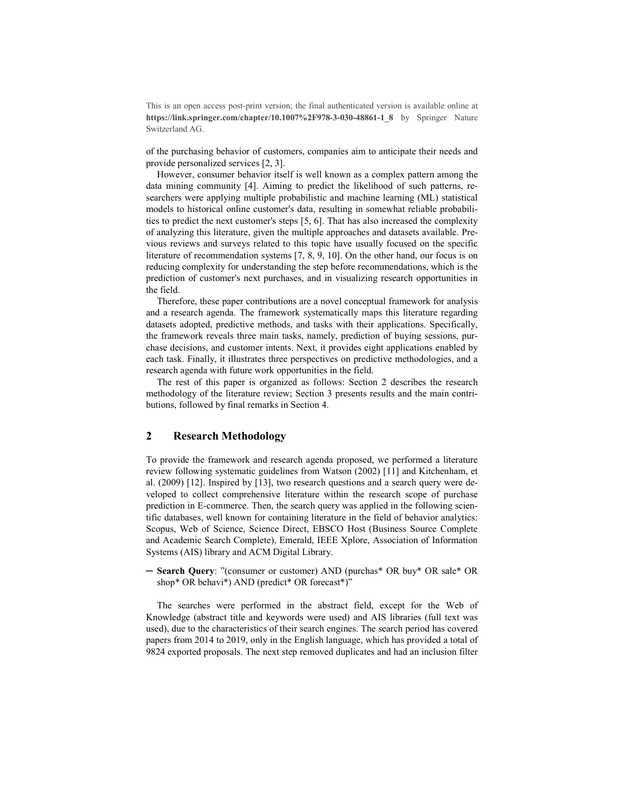of the purchasing behavior of customers, companies aim to anticipate their needs and provide personalized services [2, 3].

However, consumer behavior itself is well known as a complex pattern among the data mining community [4]. Aiming to predict the likelihood of such patterns, researchers were applying multiple probabilistic and machine learning (ML) statistical models to historical online customer's data, resulting in somewhat reliable probabilities to predict the next customer's steps [5, 6]. That has also increased the complexity of analyzing this literature, given the multiple approaches and datasets available. Previous reviews and surveys related to this topic have usually focused on the specific literature of recommendation systems [7, 8, 9, 10]. On the other hand, our focus is on reducing complexity for understanding the step before recommendations, which is the prediction of customer's next purchases, and in visualizing research opportunities in the field.

Therefore, these paper contributions are a novel conceptual framework for analysis and a research agenda. The framework systematically maps this literature regarding datasets adopted, predictive methods, and tasks with their applications. Specifically, the framework reveals three main tasks, namely, prediction of buying sessions, purchase decisions, and customer intents. Next, it provides eight applications enabled by each task. Finally, it illustrates three perspectives on predictive methodologies, and a research agenda with future work opportunities in the field.

The rest of this paper is organized as follows: Section 2 describes the research methodology of the literature review; Section 3 presents results and the main contributions, followed by final remarks in Section 4.

## **2 Research Methodology**

To provide the framework and research agenda proposed, we performed a literature review following systematic guidelines from Watson (2002) [11] and Kitchenham, et al. (2009) [12]. Inspired by [13], two research questions and a search query were developed to collect comprehensive literature within the research scope of purchase prediction in E-commerce. Then, the search query was applied in the following scientific databases, well known for containing literature in the field of behavior analytics: Scopus, Web of Science, Science Direct, EBSCO Host (Business Source Complete and Academic Search Complete), Emerald, IEEE Xplore, Association of Information Systems (AIS) library and ACM Digital Library.

─ **Search Query**: "(consumer or customer) AND (purchas\* OR buy\* OR sale\* OR shop\* OR behavi\*) AND (predict\* OR forecast\*)"

The searches were performed in the abstract field, except for the Web of Knowledge (abstract title and keywords were used) and AIS libraries (full text was used), due to the characteristics of their search engines. The search period has covered papers from 2014 to 2019, only in the English language, which has provided a total of 9824 exported proposals. The next step removed duplicates and had an inclusion filter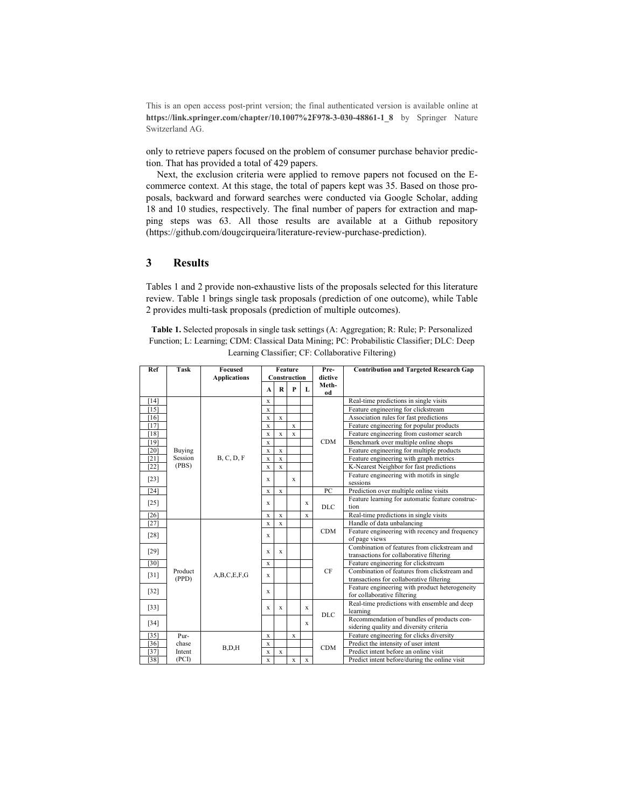only to retrieve papers focused on the problem of consumer purchase behavior prediction. That has provided a total of 429 papers.

Next, the exclusion criteria were applied to remove papers not focused on the Ecommerce context. At this stage, the total of papers kept was 35. Based on those proposals, backward and forward searches were conducted via Google Scholar, adding 18 and 10 studies, respectively. The final number of papers for extraction and mapping steps was 63. All those results are available at a Github repository (https://github.com/dougcirqueira/literature-review-purchase-prediction).

### **3 Results**

Tables 1 and 2 provide non-exhaustive lists of the proposals selected for this literature review. Table 1 brings single task proposals (prediction of one outcome), while Table 2 provides multi-task proposals (prediction of multiple outcomes).

**Table 1.** Selected proposals in single task settings (A: Aggregation; R: Rule; P: Personalized Function; L: Learning; CDM: Classical Data Mining; PC: Probabilistic Classifier; DLC: Deep Learning Classifier; CF: Collaborative Filtering)

| Ref             | Task    | <b>Focused</b>      | Feature      |              | Pre-             | <b>Contribution and Targeted Research Gap</b> |            |                                                                             |
|-----------------|---------|---------------------|--------------|--------------|------------------|-----------------------------------------------|------------|-----------------------------------------------------------------------------|
|                 |         | <b>Applications</b> | Construction |              | dictive<br>Meth- |                                               |            |                                                                             |
|                 |         |                     | A            | $\mathbf R$  | P                | L                                             | od         |                                                                             |
| [14]            |         |                     | X            |              |                  |                                               |            | Real-time predictions in single visits                                      |
| [15]            |         |                     | $\mathbf x$  |              |                  |                                               |            | Feature engineering for clickstream                                         |
| [16]            |         |                     | $\mathbf x$  | $\mathbf x$  |                  |                                               |            | Association rules for fast predictions                                      |
| [17]            |         |                     | $\mathbf x$  |              | $\mathbf x$      |                                               |            | Feature engineering for popular products                                    |
| [18]            |         |                     | X            | X            | X                |                                               |            | Feature engineering from customer search                                    |
| $[19]$          |         |                     | X            |              |                  |                                               | CDM        | Benchmark over multiple online shops                                        |
| [20]            | Buying  |                     | X            | $\mathbf x$  |                  |                                               |            | Feature engineering for multiple products                                   |
| [21]            | Session | B, C, D, F          | $\mathbf x$  | $\mathbf{x}$ |                  |                                               |            | Feature engineering with graph metrics                                      |
| [22]            | (PBS)   |                     | X            | $\mathbf x$  |                  |                                               |            | K-Nearest Neighbor for fast predictions                                     |
| $[23]$          |         |                     | X            |              | X                |                                               |            | Feature engineering with motifs in single                                   |
|                 |         |                     |              |              |                  |                                               |            | sessions                                                                    |
| $[24]$          |         |                     | X            | X            |                  |                                               | PC         | Prediction over multiple online visits                                      |
| $[25]$          |         |                     | X            |              |                  | X                                             | DLC        | Feature learning for automatic feature construc-                            |
|                 |         |                     |              |              |                  |                                               |            | tion                                                                        |
| $[26]$          |         |                     | $\mathbf x$  | $\mathbf x$  |                  | $\mathbf x$                                   |            | Real-time predictions in single visits                                      |
| $\overline{27}$ |         |                     | $\mathbf x$  | $\mathbf{x}$ |                  |                                               |            | Handle of data unbalancing                                                  |
| $[28]$          |         |                     | X            |              |                  |                                               | <b>CDM</b> | Feature engineering with recency and frequency                              |
|                 |         |                     |              |              |                  |                                               |            | of page views                                                               |
| [29]            |         |                     | $\mathbf x$  | $\mathbf{x}$ |                  |                                               |            | Combination of features from clickstream and                                |
|                 |         |                     |              |              |                  |                                               |            | transactions for collaborative filtering                                    |
| $[30]$          |         |                     | X            |              |                  |                                               |            | Feature engineering for clickstream                                         |
| $[31]$          | Product | A,B,C,E,F,G         | X            |              |                  |                                               | CF         | Combination of features from clickstream and                                |
|                 | (PPD)   |                     |              |              |                  |                                               |            | transactions for collaborative filtering                                    |
| $[32]$          |         |                     | X            |              |                  |                                               |            | Feature engineering with product heterogeneity                              |
|                 |         |                     |              |              |                  |                                               |            | for collaborative filtering<br>Real-time predictions with ensemble and deep |
| $[33]$          |         |                     | $\mathbf{x}$ | $\mathbf{x}$ |                  | $\mathbf{x}$                                  |            | learning                                                                    |
|                 |         |                     |              |              |                  |                                               | <b>DLC</b> | Recommendation of bundles of products con-                                  |
| $[34]$          |         |                     |              |              |                  | X                                             |            | sidering quality and diversity criteria                                     |
| [35]            | Pur-    |                     | X            |              | $\mathbf x$      |                                               |            | Feature engineering for clicks diversity                                    |
| [36]            | chase   |                     | $\mathbf x$  |              |                  |                                               |            | Predict the intensity of user intent                                        |
| $[37]$          | Intent  | B.D.H               | X            | X            |                  |                                               | <b>CDM</b> | Predict intent before an online visit                                       |
| $[38]$          | (PCI)   |                     | X            |              | X                | X                                             |            | Predict intent before/during the online visit                               |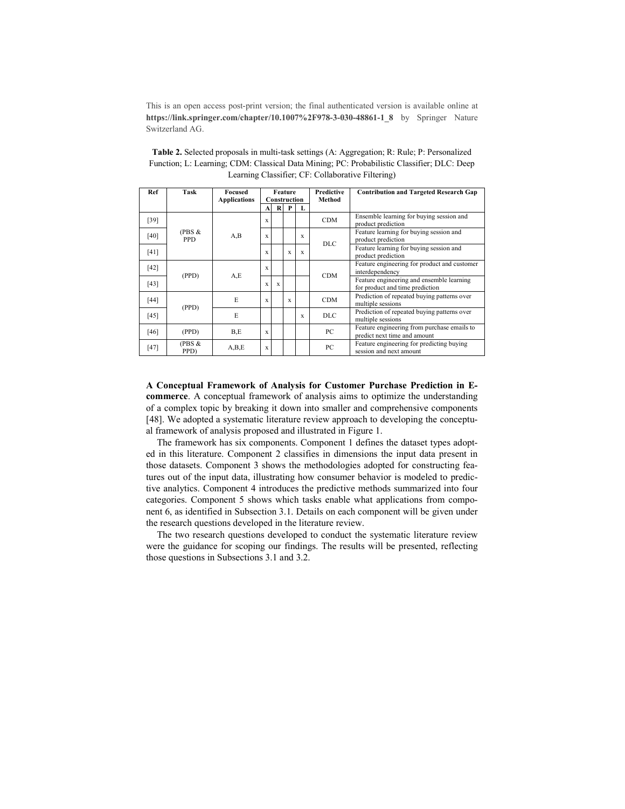| Ref    | Task                 | Focused<br><b>Applications</b> | Feature<br>Construction |    | <b>Predictive</b><br>Method | <b>Contribution and Targeted Research Gap</b> |            |                                                                              |
|--------|----------------------|--------------------------------|-------------------------|----|-----------------------------|-----------------------------------------------|------------|------------------------------------------------------------------------------|
|        |                      |                                | A                       | R. | P                           | L                                             |            |                                                                              |
| [39]   |                      |                                | X                       |    |                             |                                               | <b>CDM</b> | Ensemble learning for buying session and<br>product prediction               |
| [40]   | (PBS &<br><b>PPD</b> | A,B                            | X                       |    |                             | x                                             | DLC.       | Feature learning for buying session and<br>product prediction                |
| [41]   |                      |                                | X                       |    | $\mathbf x$                 | x                                             |            | Feature learning for buying session and<br>product prediction                |
| [42]   | (PPD)                | A,E                            | X                       |    |                             |                                               | <b>CDM</b> | Feature engineering for product and customer<br>interdependency              |
| [43]   |                      |                                | X                       | X  |                             |                                               |            | Feature engineering and ensemble learning<br>for product and time prediction |
| $[44]$ | (PPD)                | E                              | X                       |    | $\mathbf x$                 |                                               | <b>CDM</b> | Prediction of repeated buying patterns over<br>multiple sessions             |
| $[45]$ |                      | E                              |                         |    |                             | x                                             | DLC.       | Prediction of repeated buying patterns over<br>multiple sessions             |
| $[46]$ | (PPD)                | B.E                            | $\mathbf x$             |    |                             |                                               | PC.        | Feature engineering from purchase emails to<br>predict next time and amount  |
| $[47]$ | (PBS &<br>PPD)       | A,B,E                          | X                       |    |                             |                                               | PC.        | Feature engineering for predicting buying<br>session and next amount         |

**Table 2.** Selected proposals in multi-task settings (A: Aggregation; R: Rule; P: Personalized Function; L: Learning; CDM: Classical Data Mining; PC: Probabilistic Classifier; DLC: Deep Learning Classifier; CF: Collaborative Filtering)

**A Conceptual Framework of Analysis for Customer Purchase Prediction in Ecommerce**. A conceptual framework of analysis aims to optimize the understanding of a complex topic by breaking it down into smaller and comprehensive components [48]. We adopted a systematic literature review approach to developing the conceptual framework of analysis proposed and illustrated in Figure 1.

The framework has six components. Component 1 defines the dataset types adopted in this literature. Component 2 classifies in dimensions the input data present in those datasets. Component 3 shows the methodologies adopted for constructing features out of the input data, illustrating how consumer behavior is modeled to predictive analytics. Component 4 introduces the predictive methods summarized into four categories. Component 5 shows which tasks enable what applications from component 6, as identified in Subsection 3.1. Details on each component will be given under the research questions developed in the literature review.

The two research questions developed to conduct the systematic literature review were the guidance for scoping our findings. The results will be presented, reflecting those questions in Subsections 3.1 and 3.2.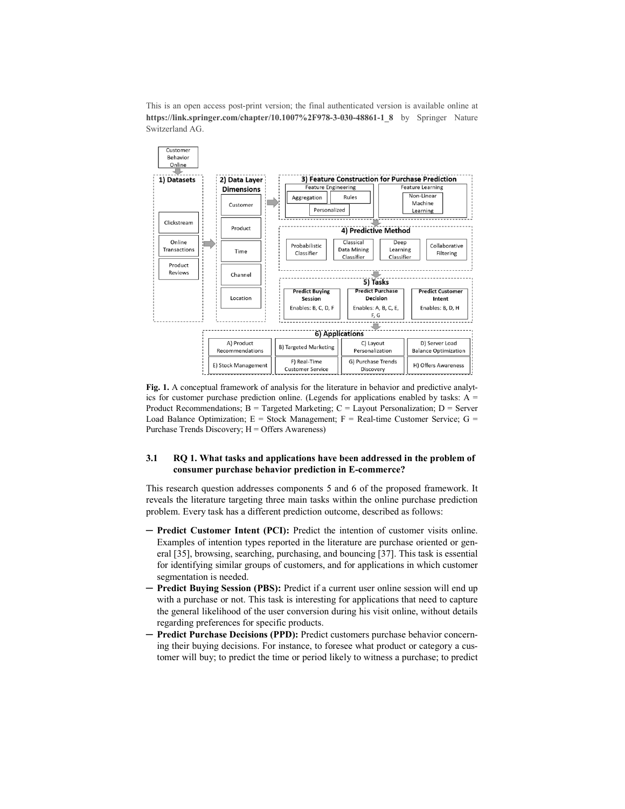

**Fig. 1.** A conceptual framework of analysis for the literature in behavior and predictive analytics for customer purchase prediction online. (Legends for applications enabled by tasks:  $A =$ Product Recommendations;  $B = Targeted Marketing$ ;  $C = Layout Personalization$ ;  $D = Server$ Load Balance Optimization; E = Stock Management; F = Real-time Customer Service; G = Purchase Trends Discovery; H = Offers Awareness)

#### **3.1 RQ 1. What tasks and applications have been addressed in the problem of consumer purchase behavior prediction in E-commerce?**

This research question addresses components 5 and 6 of the proposed framework. It reveals the literature targeting three main tasks within the online purchase prediction problem. Every task has a different prediction outcome, described as follows:

- ─ **Predict Customer Intent (PCI):** Predict the intention of customer visits online. Examples of intention types reported in the literature are purchase oriented or general [35], browsing, searching, purchasing, and bouncing [37]. This task is essential for identifying similar groups of customers, and for applications in which customer segmentation is needed.
- **Predict Buying Session (PBS):** Predict if a current user online session will end up with a purchase or not. This task is interesting for applications that need to capture the general likelihood of the user conversion during his visit online, without details regarding preferences for specific products.
- Predict Purchase Decisions (PPD): Predict customers purchase behavior concerning their buying decisions. For instance, to foresee what product or category a customer will buy; to predict the time or period likely to witness a purchase; to predict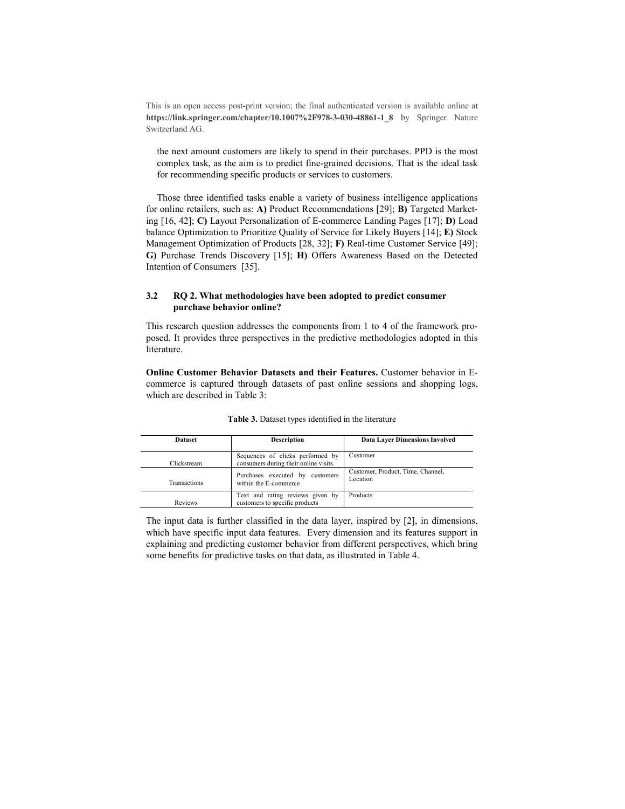the next amount customers are likely to spend in their purchases. PPD is the most complex task, as the aim is to predict fine-grained decisions. That is the ideal task for recommending specific products or services to customers.

Those three identified tasks enable a variety of business intelligence applications for online retailers, such as: **A)** Product Recommendations [29]; **B)** Targeted Marketing [16, 42]; **C)** Layout Personalization of E-commerce Landing Pages [17]; **D)** Load balance Optimization to Prioritize Quality of Service for Likely Buyers [14]; **E)** Stock Management Optimization of Products [28, 32]; **F)** Real-time Customer Service [49]; **G)** Purchase Trends Discovery [15]; **H)** Offers Awareness Based on the Detected Intention of Consumers [35].

#### **3.2 RQ 2. What methodologies have been adopted to predict consumer purchase behavior online?**

This research question addresses the components from 1 to 4 of the framework proposed. It provides three perspectives in the predictive methodologies adopted in this literature.

**Online Customer Behavior Datasets and their Features.** Customer behavior in Ecommerce is captured through datasets of past online sessions and shopping logs, which are described in Table 3:

| <b>Dataset</b> | <b>Description</b>                                                        | <b>Data Laver Dimensions Involved</b>         |
|----------------|---------------------------------------------------------------------------|-----------------------------------------------|
| Clickstream    | Sequences of clicks performed by<br>consumers during their online visits. | Customer                                      |
| Transactions   | Purchases executed by customers<br>within the E-commerce                  | Customer, Product, Time, Channel,<br>Location |
| Reviews        | Text and rating reviews given by<br>customers to specific products        | Products                                      |

**Table 3.** Dataset types identified in the literature

The input data is further classified in the data layer, inspired by [2], in dimensions, which have specific input data features. Every dimension and its features support in explaining and predicting customer behavior from different perspectives, which bring some benefits for predictive tasks on that data, as illustrated in Table 4.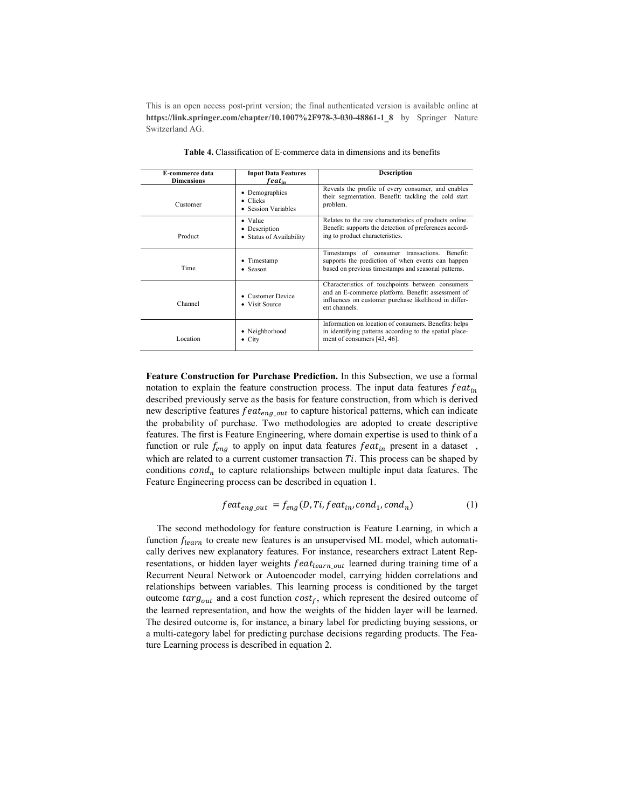| <b>E-commerce data</b><br><b>Dimensions</b> | <b>Input Data Features</b><br>feat <sub>in</sub>             | <b>Description</b>                                                                                                                                                               |  |  |  |
|---------------------------------------------|--------------------------------------------------------------|----------------------------------------------------------------------------------------------------------------------------------------------------------------------------------|--|--|--|
| Customer                                    | • Demographics<br>$\bullet$ Clicks<br>• Session Variables    | Reveals the profile of every consumer, and enables<br>their segmentation. Benefit: tackling the cold start<br>problem.                                                           |  |  |  |
| Product                                     | $\bullet$ Value<br>• Description<br>• Status of Availability | Relates to the raw characteristics of products online.<br>Benefit: supports the detection of preferences accord-<br>ing to product characteristics.                              |  |  |  |
| Time                                        | • Timestamp<br>• Season                                      | Timestamps of consumer transactions.<br>Benefit:<br>supports the prediction of when events can happen<br>based on previous timestamps and seasonal patterns.                     |  |  |  |
| Channel                                     | • Customer Device<br>• Visit Source                          | Characteristics of touchpoints between consumers<br>and an E-commerce platform. Benefit: assessment of<br>influences on customer purchase likelihood in differ-<br>ent channels. |  |  |  |
| Location                                    | • Neighborhood<br>$\bullet$ City                             | Information on location of consumers. Benefits: helps<br>in identifying patterns according to the spatial place-<br>ment of consumers [43, 46].                                  |  |  |  |

**Table 4.** Classification of E-commerce data in dimensions and its benefits

**Feature Construction for Purchase Prediction.** In this Subsection, we use a formal notation to explain the feature construction process. The input data features  $feat_{in}$ described previously serve as the basis for feature construction, from which is derived new descriptive features  $feat_{eng\ out}$  to capture historical patterns, which can indicate the probability of purchase. Two methodologies are adopted to create descriptive features. The first is Feature Engineering, where domain expertise is used to think of a function or rule  $f_{eng}$  to apply on input data features  $feat_{in}$  present in a dataset, which are related to a current customer transaction  $Ti$ . This process can be shaped by conditions  $\text{cond}_n$  to capture relationships between multiple input data features. The Feature Engineering process can be described in equation 1.

$$
feat_{eng\_out} = f_{eng}(D, Ti, feat_{in}, cond_1, cond_n)
$$
 (1)

The second methodology for feature construction is Feature Learning, in which a function  $f_{learn}$  to create new features is an unsupervised ML model, which automatically derives new explanatory features. For instance, researchers extract Latent Representations, or hidden layer weights  $feat_{learn\_out}$  learned during training time of a Recurrent Neural Network or Autoencoder model, carrying hidden correlations and relationships between variables. This learning process is conditioned by the target outcome  $\text{tar} g_{out}$  and a cost function  $\text{cost}_f$ , which represent the desired outcome of the learned representation, and how the weights of the hidden layer will be learned. The desired outcome is, for instance, a binary label for predicting buying sessions, or a multi-category label for predicting purchase decisions regarding products. The Feature Learning process is described in equation 2.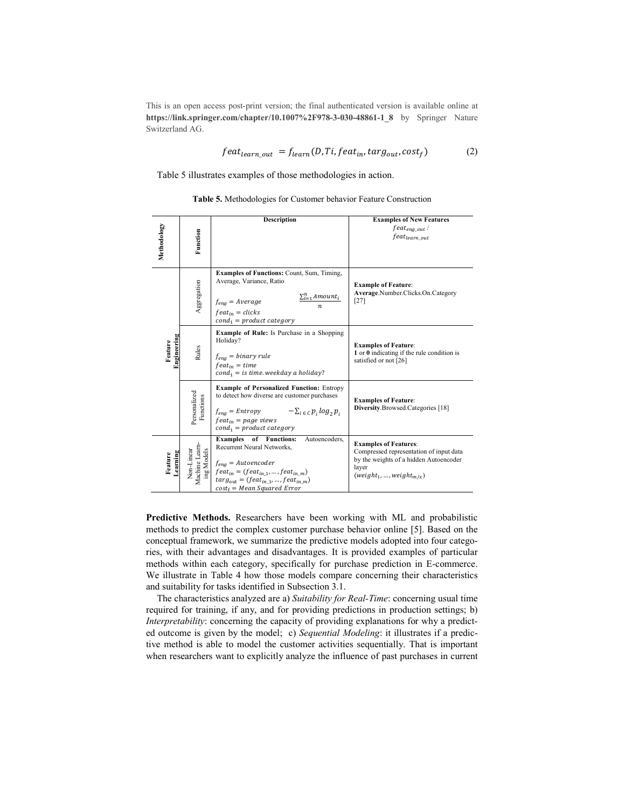$$
feat_{learn\_out} = f_{learn}(D, Ti, feat_{in}, targ_{out}, cost_f)
$$
 (2)

Table 5 illustrates examples of those methodologies in action.

**Table 5.** Methodologies for Customer behavior Feature Construction

| Methodology            | Function                                   | <b>Description</b>                                                                                                                                                                                                                              | <b>Examples of New Features</b><br>$feat_{eng\_out}$ /<br>$feat_{learn\_out}$                                                                              |
|------------------------|--------------------------------------------|-------------------------------------------------------------------------------------------------------------------------------------------------------------------------------------------------------------------------------------------------|------------------------------------------------------------------------------------------------------------------------------------------------------------|
|                        | Aggregation                                | <b>Examples of Functions: Count, Sum, Timing,</b><br>Average, Variance, Ratio<br>$\sum_{i=1}^n$ Amount <sub>i</sub><br>$f_{ena} = Average$<br>$\boldsymbol{n}$<br>$feat_{in} = clicks$<br>$cond_1 = product\ category$                          | <b>Example of Feature:</b><br>Average.Number.Clicks.On.Category<br>$[27]$                                                                                  |
| Engineering<br>Feature | Rules                                      | <b>Example of Rule:</b> Is Purchase in a Shopping<br>Holiday?<br>$f_{eng} = binary rule$<br>$feat_{in} = time$<br>$cond_1 =$ is time. weekday a holiday?                                                                                        | <b>Examples of Feature:</b><br>1 or 0 indicating if the rule condition is<br>satisfied or not [26]                                                         |
|                        | Personalized<br>Functions                  | <b>Example of Personalized Function: Entropy</b><br>to detect how diverse are customer purchases<br>$f_{eng} = Entropy$ $-\sum_{i \in C} p_i \log_2 p_i$<br>$feat_{in} = page$ views<br>$cond_1 = product\ category$                            | <b>Examples of Feature:</b><br>Diversity.Browsed.Categories [18]                                                                                           |
| earning<br>Feature     | Machine Learn-<br>Non-Linear<br>ing Models | of Functions:<br>Autoencoders,<br><b>Examples</b><br>Recurrent Neural Networks,<br>$f_{ena} = Autoencoder$<br>$feat_{in} = (feat_{in_1}, , feat_{in_m})$<br>$targ_{\text{out}} = (feat_{in_1}, , feat_{in_m})$<br>$cost_f = Mean Squared Error$ | <b>Examples of Features:</b><br>Compressed representation of input data<br>by the weights of a hidden Autoencoder<br>layer<br>$(weight_1, , weight_{m/r})$ |

**Predictive Methods.** Researchers have been working with ML and probabilistic methods to predict the complex customer purchase behavior online [5]. Based on the conceptual framework, we summarize the predictive models adopted into four categories, with their advantages and disadvantages. It is provided examples of particular methods within each category, specifically for purchase prediction in E-commerce. We illustrate in Table 4 how those models compare concerning their characteristics and suitability for tasks identified in Subsection 3.1.

The characteristics analyzed are a) *Suitability for Real-Time*: concerning usual time required for training, if any, and for providing predictions in production settings; b) *Interpretability*: concerning the capacity of providing explanations for why a predicted outcome is given by the model; c) *Sequential Modeling*: it illustrates if a predictive method is able to model the customer activities sequentially. That is important when researchers want to explicitly analyze the influence of past purchases in current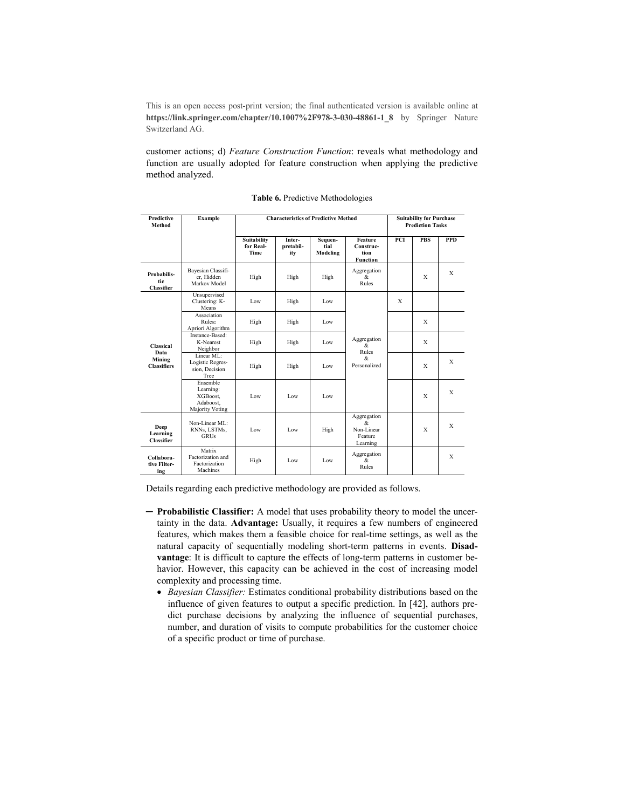customer actions; d) *Feature Construction Function*: reveals what methodology and function are usually adopted for feature construction when applying the predictive method analyzed.

| <b>Predictive</b><br>Method              | <b>Example</b>                                                    |                                                | <b>Characteristics of Predictive Method</b> | <b>Suitability for Purchase</b><br><b>Prediction Tasks</b> |                                                                     |            |            |            |
|------------------------------------------|-------------------------------------------------------------------|------------------------------------------------|---------------------------------------------|------------------------------------------------------------|---------------------------------------------------------------------|------------|------------|------------|
|                                          |                                                                   | <b>Suitability</b><br>for Real-<br><b>Time</b> | Inter-<br>pretabil-<br>ity                  | Sequen-<br>tial<br>Modeling                                | <b>Feature</b><br>Construc-<br>tion<br><b>Function</b>              | <b>PCI</b> | <b>PBS</b> | <b>PPD</b> |
| Probabilis-<br>tic.<br><b>Classifier</b> | Bayesian Classifi-<br>er. Hidden<br>Markov Model                  | High                                           | High                                        | High                                                       | Aggregation<br>&<br>Rules                                           |            | X          | X          |
|                                          | Unsupervised<br>Clustering: K-<br>Means                           | Low                                            | High                                        | Low                                                        | Aggregation<br>&<br>Rules                                           | X          |            |            |
|                                          | Association<br>Rules:<br>Apriori Algorithm                        | High                                           | High                                        | Low                                                        |                                                                     |            | X          |            |
| Classical<br>Data                        | Instance-Based:<br>K-Nearest<br>Neighbor                          | High                                           | High                                        | Low                                                        |                                                                     |            | X          |            |
| Mining<br><b>Classifiers</b>             | Linear ML:<br>Logistic Regres-<br>sion, Decision<br>Tree          | High                                           | High                                        | Low                                                        | $\mathcal{R}^r$<br>Personalized                                     |            | X          | X          |
|                                          | Ensemble<br>Learning:<br>XGBoost.<br>Adaboost.<br>Majority Voting | Low                                            | Low                                         | Low                                                        |                                                                     |            | X          | X          |
| Deep<br>Learning<br>Classifier           | Non-Linear ML:<br>RNNs, LSTMs,<br><b>GRUs</b>                     | Low                                            | Low                                         | High                                                       | Aggregation<br>$\mathcal{R}^r$<br>Non-Linear<br>Feature<br>Learning |            | X          | X          |
| Collabora-<br>tive Filter-<br>ing        | Matrix<br>Factorization and<br>Factorization<br>Machines          | High                                           | Low                                         | Low                                                        | Aggregation<br>&<br>Rules                                           |            |            | X          |

**Table 6.** Predictive Methodologies

Details regarding each predictive methodology are provided as follows.

- ─ **Probabilistic Classifier:** A model that uses probability theory to model the uncertainty in the data. **Advantage:** Usually, it requires a few numbers of engineered features, which makes them a feasible choice for real-time settings, as well as the natural capacity of sequentially modeling short-term patterns in events. **Disadvantage**: It is difficult to capture the effects of long-term patterns in customer behavior. However, this capacity can be achieved in the cost of increasing model complexity and processing time.
	- *Bayesian Classifier:* Estimates conditional probability distributions based on the influence of given features to output a specific prediction. In [42], authors predict purchase decisions by analyzing the influence of sequential purchases, number, and duration of visits to compute probabilities for the customer choice of a specific product or time of purchase.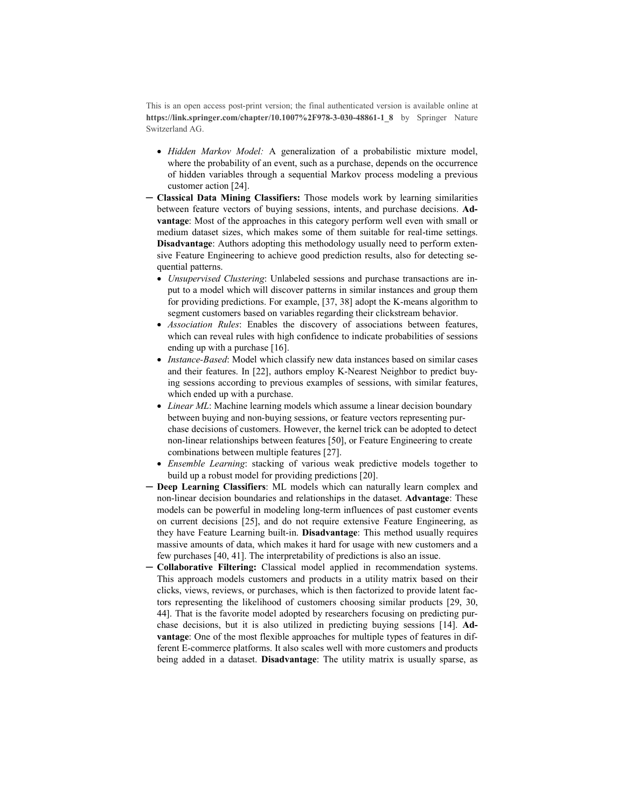- *Hidden Markov Model:* A generalization of a probabilistic mixture model, where the probability of an event, such as a purchase, depends on the occurrence of hidden variables through a sequential Markov process modeling a previous customer action [24].
- ─ **Classical Data Mining Classifiers:** Those models work by learning similarities between feature vectors of buying sessions, intents, and purchase decisions. **Advantage**: Most of the approaches in this category perform well even with small or medium dataset sizes, which makes some of them suitable for real-time settings. **Disadvantage**: Authors adopting this methodology usually need to perform extensive Feature Engineering to achieve good prediction results, also for detecting sequential patterns.
	- *Unsupervised Clustering*: Unlabeled sessions and purchase transactions are input to a model which will discover patterns in similar instances and group them for providing predictions. For example, [37, 38] adopt the K-means algorithm to segment customers based on variables regarding their clickstream behavior.
	- *Association Rules*: Enables the discovery of associations between features, which can reveal rules with high confidence to indicate probabilities of sessions ending up with a purchase [16].
	- *Instance-Based*: Model which classify new data instances based on similar cases and their features. In [22], authors employ K-Nearest Neighbor to predict buying sessions according to previous examples of sessions, with similar features, which ended up with a purchase.
	- *Linear ML*: Machine learning models which assume a linear decision boundary between buying and non-buying sessions, or feature vectors representing purchase decisions of customers. However, the kernel trick can be adopted to detect non-linear relationships between features [50], or Feature Engineering to create combinations between multiple features [27].
	- *Ensemble Learning*: stacking of various weak predictive models together to build up a robust model for providing predictions [20].
- ─ **Deep Learning Classifiers**: ML models which can naturally learn complex and non-linear decision boundaries and relationships in the dataset. **Advantage**: These models can be powerful in modeling long-term influences of past customer events on current decisions [25], and do not require extensive Feature Engineering, as they have Feature Learning built-in. **Disadvantage**: This method usually requires massive amounts of data, which makes it hard for usage with new customers and a few purchases [40, 41]. The interpretability of predictions is also an issue.
- ─ **Collaborative Filtering:** Classical model applied in recommendation systems. This approach models customers and products in a utility matrix based on their clicks, views, reviews, or purchases, which is then factorized to provide latent factors representing the likelihood of customers choosing similar products [29, 30, 44]. That is the favorite model adopted by researchers focusing on predicting purchase decisions, but it is also utilized in predicting buying sessions [14]. **Advantage**: One of the most flexible approaches for multiple types of features in different E-commerce platforms. It also scales well with more customers and products being added in a dataset. **Disadvantage**: The utility matrix is usually sparse, as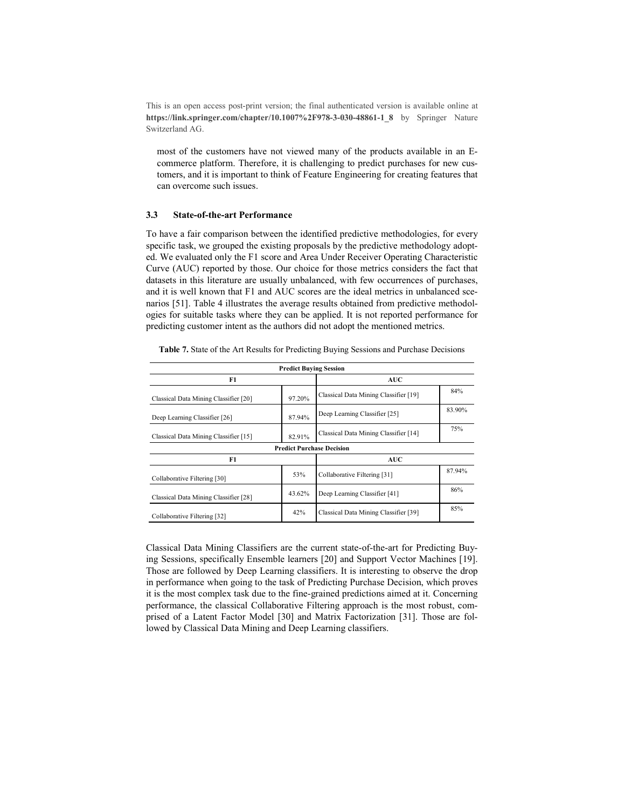most of the customers have not viewed many of the products available in an Ecommerce platform. Therefore, it is challenging to predict purchases for new customers, and it is important to think of Feature Engineering for creating features that can overcome such issues.

#### **3.3 State-of-the-art Performance**

To have a fair comparison between the identified predictive methodologies, for every specific task, we grouped the existing proposals by the predictive methodology adopted. We evaluated only the F1 score and Area Under Receiver Operating Characteristic Curve (AUC) reported by those. Our choice for those metrics considers the fact that datasets in this literature are usually unbalanced, with few occurrences of purchases, and it is well known that F1 and AUC scores are the ideal metrics in unbalanced scenarios [51]. Table 4 illustrates the average results obtained from predictive methodologies for suitable tasks where they can be applied. It is not reported performance for predicting customer intent as the authors did not adopt the mentioned metrics.

| <b>Predict Buving Session</b>         |            |                                       |        |  |  |  |  |  |
|---------------------------------------|------------|---------------------------------------|--------|--|--|--|--|--|
| F1.                                   | <b>AUC</b> |                                       |        |  |  |  |  |  |
| Classical Data Mining Classifier [20] | 97.20%     | Classical Data Mining Classifier [19] | 84%    |  |  |  |  |  |
| Deep Learning Classifier [26]         | 87.94%     | Deep Learning Classifier [25]         | 83.90% |  |  |  |  |  |
| Classical Data Mining Classifier [15] | 82.91%     | Classical Data Mining Classifier [14] | 75%    |  |  |  |  |  |
|                                       |            | <b>Predict Purchase Decision</b>      |        |  |  |  |  |  |
| F1                                    |            | AUC                                   |        |  |  |  |  |  |
| Collaborative Filtering [30]          | 53%        | Collaborative Filtering [31]          | 87.94% |  |  |  |  |  |
| Classical Data Mining Classifier [28] | 43.62%     | Deep Learning Classifier [41]         | 86%    |  |  |  |  |  |
| Collaborative Filtering [32]          | 42%        | Classical Data Mining Classifier [39] | 85%    |  |  |  |  |  |

**Table 7.** State of the Art Results for Predicting Buying Sessions and Purchase Decisions

Classical Data Mining Classifiers are the current state-of-the-art for Predicting Buying Sessions, specifically Ensemble learners [20] and Support Vector Machines [19]. Those are followed by Deep Learning classifiers. It is interesting to observe the drop in performance when going to the task of Predicting Purchase Decision, which proves it is the most complex task due to the fine-grained predictions aimed at it. Concerning performance, the classical Collaborative Filtering approach is the most robust, comprised of a Latent Factor Model [30] and Matrix Factorization [31]. Those are followed by Classical Data Mining and Deep Learning classifiers.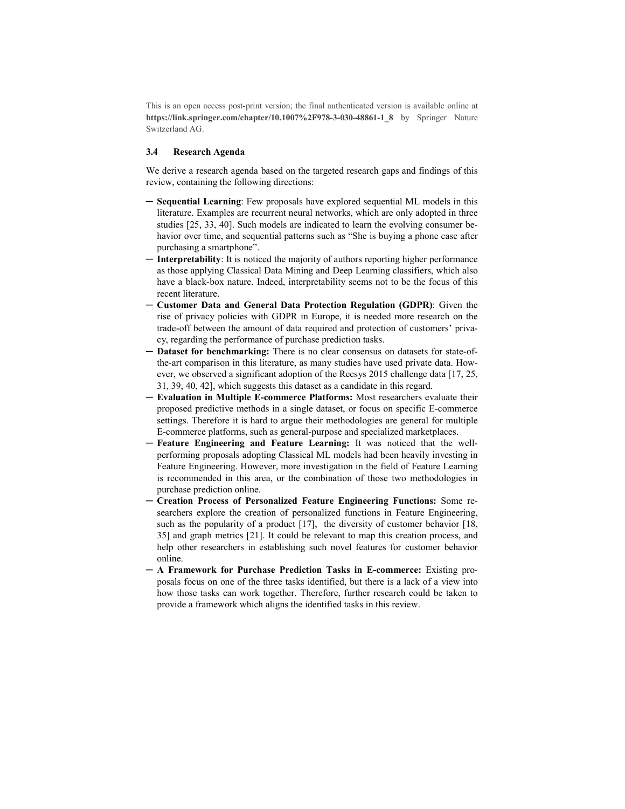#### **3.4 Research Agenda**

We derive a research agenda based on the targeted research gaps and findings of this review, containing the following directions:

- ─ **Sequential Learning**: Few proposals have explored sequential ML models in this literature. Examples are recurrent neural networks, which are only adopted in three studies [25, 33, 40]. Such models are indicated to learn the evolving consumer behavior over time, and sequential patterns such as "She is buying a phone case after purchasing a smartphone".
- **Interpretability**: It is noticed the majority of authors reporting higher performance as those applying Classical Data Mining and Deep Learning classifiers, which also have a black-box nature. Indeed, interpretability seems not to be the focus of this recent literature.
- ─ **Customer Data and General Data Protection Regulation (GDPR)**: Given the rise of privacy policies with GDPR in Europe, it is needed more research on the trade-off between the amount of data required and protection of customers' privacy, regarding the performance of purchase prediction tasks.
- ─ **Dataset for benchmarking:** There is no clear consensus on datasets for state-ofthe-art comparison in this literature, as many studies have used private data. However, we observed a significant adoption of the Recsys 2015 challenge data [17, 25, 31, 39, 40, 42], which suggests this dataset as a candidate in this regard.
- ─ **Evaluation in Multiple E-commerce Platforms:** Most researchers evaluate their proposed predictive methods in a single dataset, or focus on specific E-commerce settings. Therefore it is hard to argue their methodologies are general for multiple E-commerce platforms, such as general-purpose and specialized marketplaces.
- ─ **Feature Engineering and Feature Learning:** It was noticed that the wellperforming proposals adopting Classical ML models had been heavily investing in Feature Engineering. However, more investigation in the field of Feature Learning is recommended in this area, or the combination of those two methodologies in purchase prediction online.
- ─ **Creation Process of Personalized Feature Engineering Functions:** Some researchers explore the creation of personalized functions in Feature Engineering, such as the popularity of a product [17], the diversity of customer behavior [18, 35] and graph metrics [21]. It could be relevant to map this creation process, and help other researchers in establishing such novel features for customer behavior online.
- ─ **A Framework for Purchase Prediction Tasks in E-commerce:** Existing proposals focus on one of the three tasks identified, but there is a lack of a view into how those tasks can work together. Therefore, further research could be taken to provide a framework which aligns the identified tasks in this review.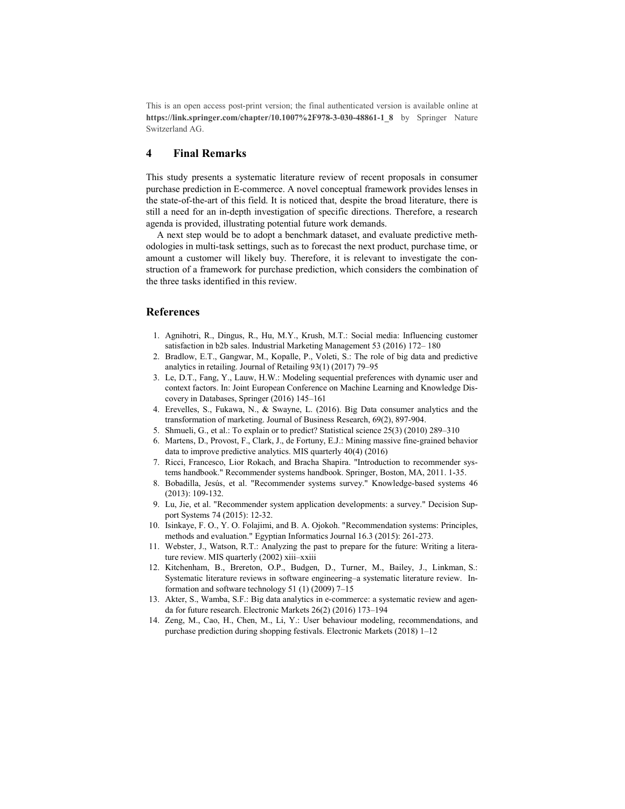# **4 Final Remarks**

This study presents a systematic literature review of recent proposals in consumer purchase prediction in E-commerce. A novel conceptual framework provides lenses in the state-of-the-art of this field. It is noticed that, despite the broad literature, there is still a need for an in-depth investigation of specific directions. Therefore, a research agenda is provided, illustrating potential future work demands.

A next step would be to adopt a benchmark dataset, and evaluate predictive methodologies in multi-task settings, such as to forecast the next product, purchase time, or amount a customer will likely buy. Therefore, it is relevant to investigate the construction of a framework for purchase prediction, which considers the combination of the three tasks identified in this review.

#### **References**

- 1. Agnihotri, R., Dingus, R., Hu, M.Y., Krush, M.T.: Social media: Influencing customer satisfaction in b2b sales. Industrial Marketing Management 53 (2016) 172– 180
- 2. Bradlow, E.T., Gangwar, M., Kopalle, P., Voleti, S.: The role of big data and predictive analytics in retailing. Journal of Retailing 93(1) (2017) 79–95
- 3. Le, D.T., Fang, Y., Lauw, H.W.: Modeling sequential preferences with dynamic user and context factors. In: Joint European Conference on Machine Learning and Knowledge Discovery in Databases, Springer (2016) 145–161
- 4. Erevelles, S., Fukawa, N., & Swayne, L. (2016). Big Data consumer analytics and the transformation of marketing. Journal of Business Research, 69(2), 897-904.
- 5. Shmueli, G., et al.: To explain or to predict? Statistical science 25(3) (2010) 289–310
- 6. Martens, D., Provost, F., Clark, J., de Fortuny, E.J.: Mining massive fine-grained behavior data to improve predictive analytics. MIS quarterly 40(4) (2016)
- 7. Ricci, Francesco, Lior Rokach, and Bracha Shapira. "Introduction to recommender systems handbook." Recommender systems handbook. Springer, Boston, MA, 2011. 1-35.
- 8. Bobadilla, Jesús, et al. "Recommender systems survey." Knowledge-based systems 46 (2013): 109-132.
- 9. Lu, Jie, et al. "Recommender system application developments: a survey." Decision Support Systems 74 (2015): 12-32.
- 10. Isinkaye, F. O., Y. O. Folajimi, and B. A. Ojokoh. "Recommendation systems: Principles, methods and evaluation." Egyptian Informatics Journal 16.3 (2015): 261-273.
- 11. Webster, J., Watson, R.T.: Analyzing the past to prepare for the future: Writing a literature review. MIS quarterly (2002) xiii–xxiii
- 12. Kitchenham, B., Brereton, O.P., Budgen, D., Turner, M., Bailey, J., Linkman, S.: Systematic literature reviews in software engineering–a systematic literature review. Information and software technology 51 (1) (2009) 7–15
- 13. Akter, S., Wamba, S.F.: Big data analytics in e-commerce: a systematic review and agenda for future research. Electronic Markets 26(2) (2016) 173–194
- 14. Zeng, M., Cao, H., Chen, M., Li, Y.: User behaviour modeling, recommendations, and purchase prediction during shopping festivals. Electronic Markets (2018) 1–12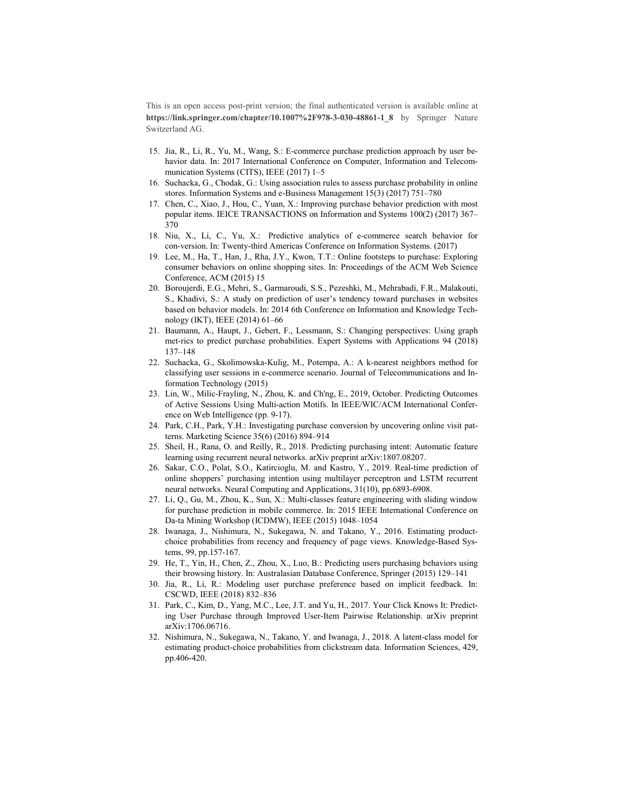- 15. Jia, R., Li, R., Yu, M., Wang, S.: E-commerce purchase prediction approach by user behavior data. In: 2017 International Conference on Computer, Information and Telecommunication Systems (CITS), IEEE (2017) 1–5
- 16. Suchacka, G., Chodak, G.: Using association rules to assess purchase probability in online stores. Information Systems and e-Business Management 15(3) (2017) 751–780
- 17. Chen, C., Xiao, J., Hou, C., Yuan, X.: Improving purchase behavior prediction with most popular items. IEICE TRANSACTIONS on Information and Systems 100(2) (2017) 367– 370
- 18. Niu, X., Li, C., Yu, X.: Predictive analytics of e-commerce search behavior for con-version. In: Twenty-third Americas Conference on Information Systems. (2017)
- 19. Lee, M., Ha, T., Han, J., Rha, J.Y., Kwon, T.T.: Online footsteps to purchase: Exploring consumer behaviors on online shopping sites. In: Proceedings of the ACM Web Science Conference, ACM (2015) 15
- 20. Boroujerdi, E.G., Mehri, S., Garmaroudi, S.S., Pezeshki, M., Mehrabadi, F.R., Malakouti, S., Khadivi, S.: A study on prediction of user's tendency toward purchases in websites based on behavior models. In: 2014 6th Conference on Information and Knowledge Technology (IKT), IEEE (2014) 61–66
- 21. Baumann, A., Haupt, J., Gebert, F., Lessmann, S.: Changing perspectives: Using graph met-rics to predict purchase probabilities. Expert Systems with Applications 94 (2018) 137–148
- 22. Suchacka, G., Skolimowska-Kulig, M., Potempa, A.: A k-nearest neighbors method for classifying user sessions in e-commerce scenario. Journal of Telecommunications and Information Technology (2015)
- 23. Lin, W., Milic-Frayling, N., Zhou, K. and Ch'ng, E., 2019, October. Predicting Outcomes of Active Sessions Using Multi-action Motifs. In IEEE/WIC/ACM International Conference on Web Intelligence (pp. 9-17).
- 24. Park, C.H., Park, Y.H.: Investigating purchase conversion by uncovering online visit patterns. Marketing Science 35(6) (2016) 894–914
- 25. Sheil, H., Rana, O. and Reilly, R., 2018. Predicting purchasing intent: Automatic feature learning using recurrent neural networks. arXiv preprint arXiv:1807.08207.
- 26. Sakar, C.O., Polat, S.O., Katircioglu, M. and Kastro, Y., 2019. Real-time prediction of online shoppers' purchasing intention using multilayer perceptron and LSTM recurrent neural networks. Neural Computing and Applications, 31(10), pp.6893-6908.
- 27. Li, Q., Gu, M., Zhou, K., Sun, X.: Multi-classes feature engineering with sliding window for purchase prediction in mobile commerce. In: 2015 IEEE International Conference on Da-ta Mining Workshop (ICDMW), IEEE (2015) 1048–1054
- 28. Iwanaga, J., Nishimura, N., Sukegawa, N. and Takano, Y., 2016. Estimating productchoice probabilities from recency and frequency of page views. Knowledge-Based Systems, 99, pp.157-167.
- 29. He, T., Yin, H., Chen, Z., Zhou, X., Luo, B.: Predicting users purchasing behaviors using their browsing history. In: Australasian Database Conference, Springer (2015) 129–141
- 30. Jia, R., Li, R.: Modeling user purchase preference based on implicit feedback. In: CSCWD, IEEE (2018) 832–836
- 31. Park, C., Kim, D., Yang, M.C., Lee, J.T. and Yu, H., 2017. Your Click Knows It: Predicting User Purchase through Improved User-Item Pairwise Relationship. arXiv preprint arXiv:1706.06716.
- 32. Nishimura, N., Sukegawa, N., Takano, Y. and Iwanaga, J., 2018. A latent-class model for estimating product-choice probabilities from clickstream data. Information Sciences, 429, pp.406-420.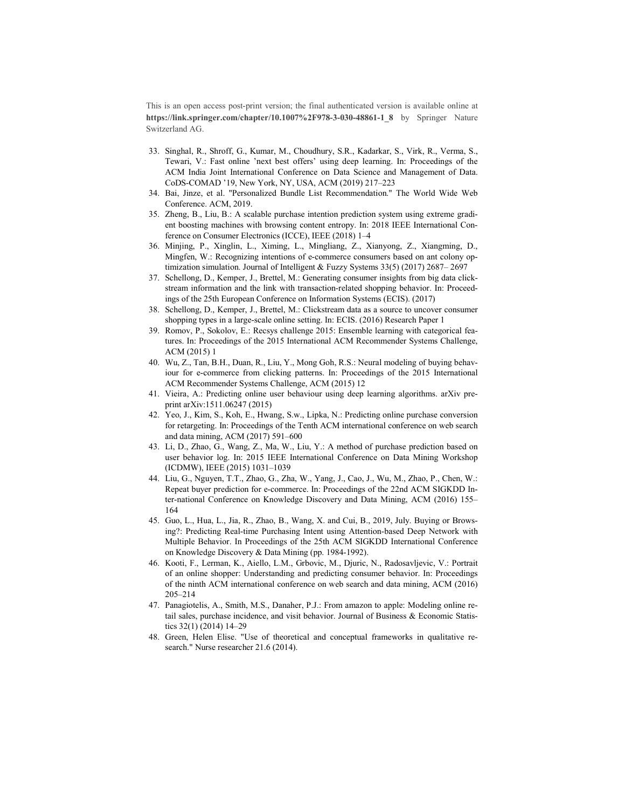- 33. Singhal, R., Shroff, G., Kumar, M., Choudhury, S.R., Kadarkar, S., Virk, R., Verma, S., Tewari, V.: Fast online 'next best offers' using deep learning. In: Proceedings of the ACM India Joint International Conference on Data Science and Management of Data. CoDS-COMAD '19, New York, NY, USA, ACM (2019) 217–223
- 34. Bai, Jinze, et al. "Personalized Bundle List Recommendation." The World Wide Web Conference. ACM, 2019.
- 35. Zheng, B., Liu, B.: A scalable purchase intention prediction system using extreme gradient boosting machines with browsing content entropy. In: 2018 IEEE International Conference on Consumer Electronics (ICCE), IEEE (2018) 1–4
- 36. Minjing, P., Xinglin, L., Ximing, L., Mingliang, Z., Xianyong, Z., Xiangming, D., Mingfen, W.: Recognizing intentions of e-commerce consumers based on ant colony optimization simulation. Journal of Intelligent & Fuzzy Systems 33(5) (2017) 2687– 2697
- 37. Schellong, D., Kemper, J., Brettel, M.: Generating consumer insights from big data clickstream information and the link with transaction-related shopping behavior. In: Proceedings of the 25th European Conference on Information Systems (ECIS). (2017)
- 38. Schellong, D., Kemper, J., Brettel, M.: Clickstream data as a source to uncover consumer shopping types in a large-scale online setting. In: ECIS. (2016) Research Paper 1
- 39. Romov, P., Sokolov, E.: Recsys challenge 2015: Ensemble learning with categorical features. In: Proceedings of the 2015 International ACM Recommender Systems Challenge, ACM (2015) 1
- 40. Wu, Z., Tan, B.H., Duan, R., Liu, Y., Mong Goh, R.S.: Neural modeling of buying behaviour for e-commerce from clicking patterns. In: Proceedings of the 2015 International ACM Recommender Systems Challenge, ACM (2015) 12
- 41. Vieira, A.: Predicting online user behaviour using deep learning algorithms. arXiv preprint arXiv:1511.06247 (2015)
- 42. Yeo, J., Kim, S., Koh, E., Hwang, S.w., Lipka, N.: Predicting online purchase conversion for retargeting. In: Proceedings of the Tenth ACM international conference on web search and data mining, ACM (2017) 591–600
- 43. Li, D., Zhao, G., Wang, Z., Ma, W., Liu, Y.: A method of purchase prediction based on user behavior log. In: 2015 IEEE International Conference on Data Mining Workshop (ICDMW), IEEE (2015) 1031–1039
- 44. Liu, G., Nguyen, T.T., Zhao, G., Zha, W., Yang, J., Cao, J., Wu, M., Zhao, P., Chen, W.: Repeat buyer prediction for e-commerce. In: Proceedings of the 22nd ACM SIGKDD Inter-national Conference on Knowledge Discovery and Data Mining, ACM (2016) 155– 164
- 45. Guo, L., Hua, L., Jia, R., Zhao, B., Wang, X. and Cui, B., 2019, July. Buying or Browsing?: Predicting Real-time Purchasing Intent using Attention-based Deep Network with Multiple Behavior. In Proceedings of the 25th ACM SIGKDD International Conference on Knowledge Discovery & Data Mining (pp. 1984-1992).
- 46. Kooti, F., Lerman, K., Aiello, L.M., Grbovic, M., Djuric, N., Radosavljevic, V.: Portrait of an online shopper: Understanding and predicting consumer behavior. In: Proceedings of the ninth ACM international conference on web search and data mining, ACM (2016) 205–214
- 47. Panagiotelis, A., Smith, M.S., Danaher, P.J.: From amazon to apple: Modeling online retail sales, purchase incidence, and visit behavior. Journal of Business & Economic Statistics 32(1) (2014) 14–29
- 48. Green, Helen Elise. "Use of theoretical and conceptual frameworks in qualitative research." Nurse researcher 21.6 (2014).